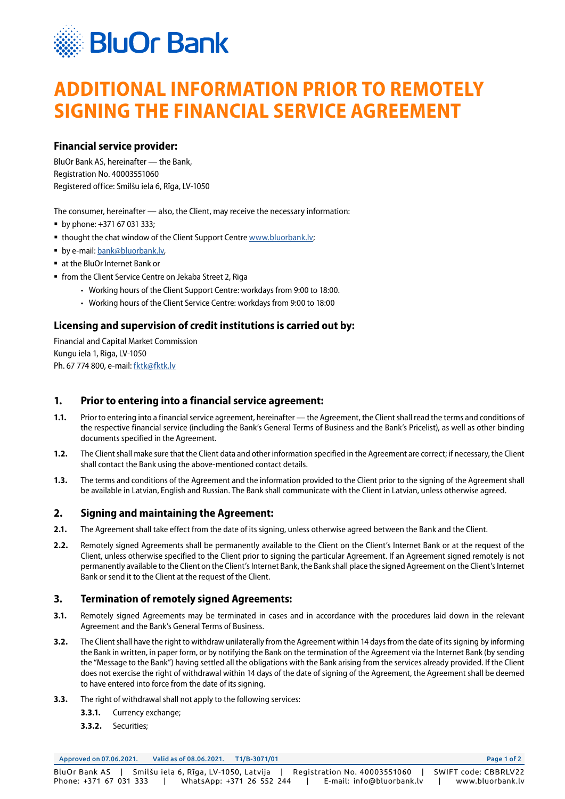

# **ADDITIONAL INFORMATION PRIOR TO REMOTELY SIGNING THE FINANCIAL SERVICE AGREEMENT**

### **Financial service provider:**

BluOr Bank AS, hereinafter — the Bank, Registration No. 40003551060 Registered office: Smilšu iela 6, Rīga, LV-1050

The consumer, hereinafter — also, the Client, may receive the necessary information:

- by phone: +371 67 031 333;
- **thought the chat window of the Client Support Centre [www.bluorbank.lv](https://www.bluorbank.lv/en/index);**
- **by e-mail: bank@bluorbank.lv.**
- at the BluOr Internet Bank or
- from the Client Service Centre on Jekaba Street 2, Riga
	- Working hours of the Client Support Centre: workdays from 9:00 to 18:00.
	- Working hours of the Client Service Centre: workdays from 9:00 to 18:00

## **Licensing and supervision of credit institutions is carried out by:**

Financial and Capital Market Commission Kungu iela 1, Riga, LV-1050 Ph. 67 774 800, e-mail: [fktk@fktk.lv](mailto:fktk%40fktk.lv?subject=)

#### **1. Prior to entering into a financial service agreement:**

- **1.1.** Prior to entering into a financial service agreement, hereinafter the Agreement, the Client shall read the terms and conditions of the respective financial service (including the Bank's General Terms of Business and the Bank's Pricelist), as well as other binding documents specified in the Agreement.
- **1.2.** The Client shall make sure that the Client data and other information specified in the Agreement are correct; if necessary, the Client shall contact the Bank using the above-mentioned contact details.
- **1.3.** The terms and conditions of the Agreement and the information provided to the Client prior to the signing of the Agreement shall be available in Latvian, English and Russian. The Bank shall communicate with the Client in Latvian, unless otherwise agreed.

#### **2. Signing and maintaining the Agreement:**

- **2.1.** The Agreement shall take effect from the date of its signing, unless otherwise agreed between the Bank and the Client.
- **2.2.** Remotely signed Agreements shall be permanently available to the Client on the Client's Internet Bank or at the request of the Client, unless otherwise specified to the Client prior to signing the particular Agreement. If an Agreement signed remotely is not permanently available to the Client on the Client's Internet Bank, the Bank shall place the signed Agreement on the Client's Internet Bank or send it to the Client at the request of the Client.

#### **3. Termination of remotely signed Agreements:**

- **3.1.** Remotely signed Agreements may be terminated in cases and in accordance with the procedures laid down in the relevant Agreement and the Bank's General Terms of Business.
- **3.2.** The Client shall have the right to withdraw unilaterally from the Agreement within 14 days from the date of its signing by informing the Bank in written, in paper form, or by notifying the Bank on the termination of the Agreement via the Internet Bank (by sending the "Message to the Bank") having settled all the obligations with the Bank arising from the services already provided. If the Client does not exercise the right of withdrawal within 14 days of the date of signing of the Agreement, the Agreement shall be deemed to have entered into force from the date of its signing.
- **3.3.** The right of withdrawal shall not apply to the following services:
	- **3.3.1.** Currency exchange;
	- **3.3.2.** Securities;